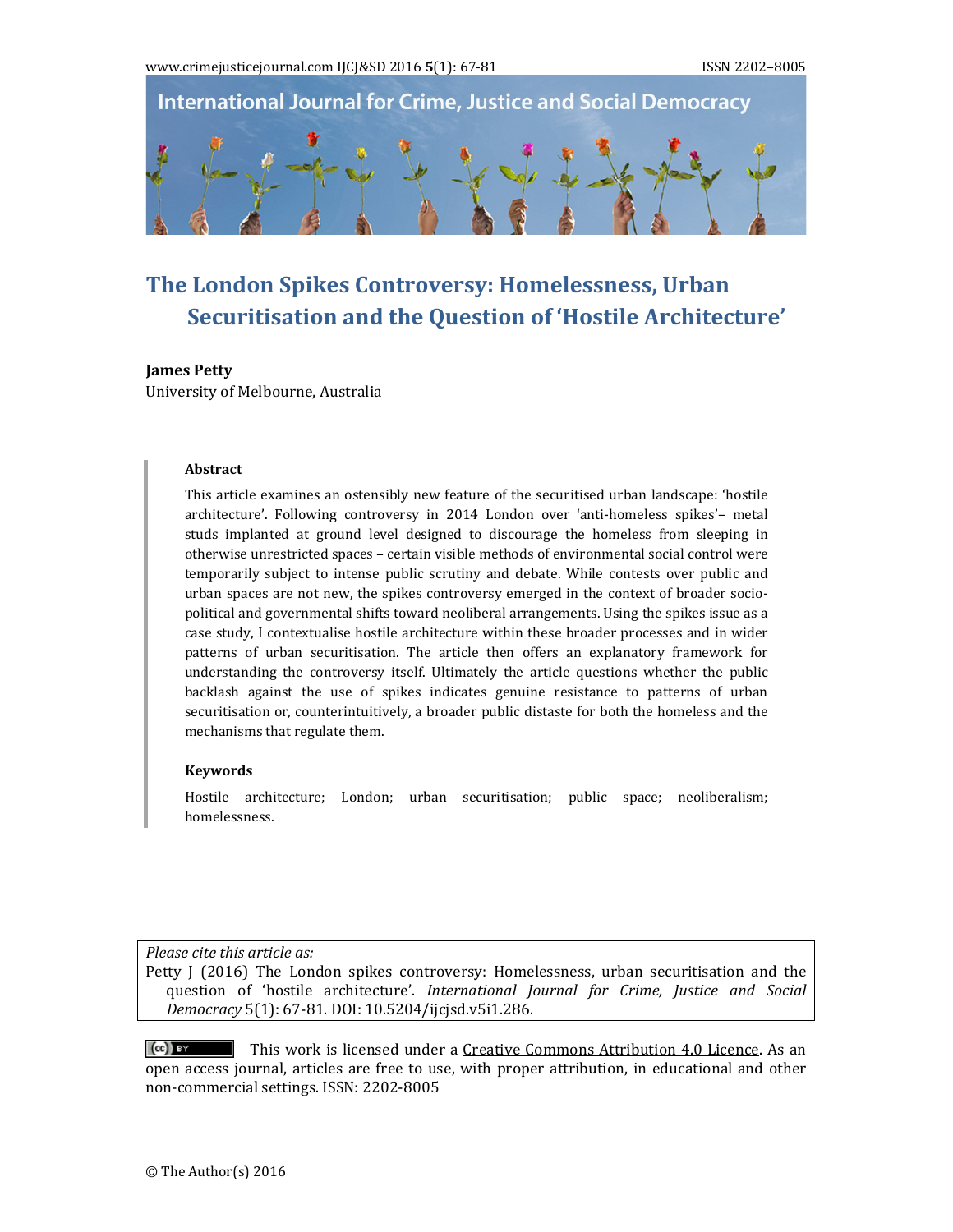

# **The London Spikes Controversy: Homelessness, Urban Securitisation and the Question of 'Hostile Architecture'**

#### **James** Petty

University of Melbourne, Australia

#### **Abstract**

This article examines an ostensibly new feature of the securitised urban landscape: 'hostile architecture'. Following controversy in 2014 London over 'anti-homeless spikes'- metal studs implanted at ground level designed to discourage the homeless from sleeping in otherwise unrestricted spaces - certain visible methods of environmental social control were temporarily subject to intense public scrutiny and debate. While contests over public and urban spaces are not new, the spikes controversy emerged in the context of broader sociopolitical and governmental shifts toward neoliberal arrangements. Using the spikes issue as a case study, I contextualise hostile architecture within these broader processes and in wider patterns of urban securitisation. The article then offers an explanatory framework for understanding the controversy itself. Ultimately the article questions whether the public backlash against the use of spikes indicates genuine resistance to patterns of urban securitisation or, counterintuitively, a broader public distaste for both the homeless and the mechanisms that regulate them.

#### **Keywords**

Hostile architecture; London; urban securitisation; public space; neoliberalism; homelessness. 

*Please cite this article as:*

Petty  $J(2016)$  The London spikes controversy: Homelessness, urban securitisation and the question of 'hostile architecture'. *International Journal for Crime, Justice and Social Democracy* 5(1): 67‐81. DOI: 10.5204/ijcjsd.v5i1.286. 

This work is licensed under a Creative Commons Attribution 4.0 Licence. As an  $(cc)$  BY open access journal, articles are free to use, with proper attribution, in educational and other non-commercial settings. ISSN: 2202-8005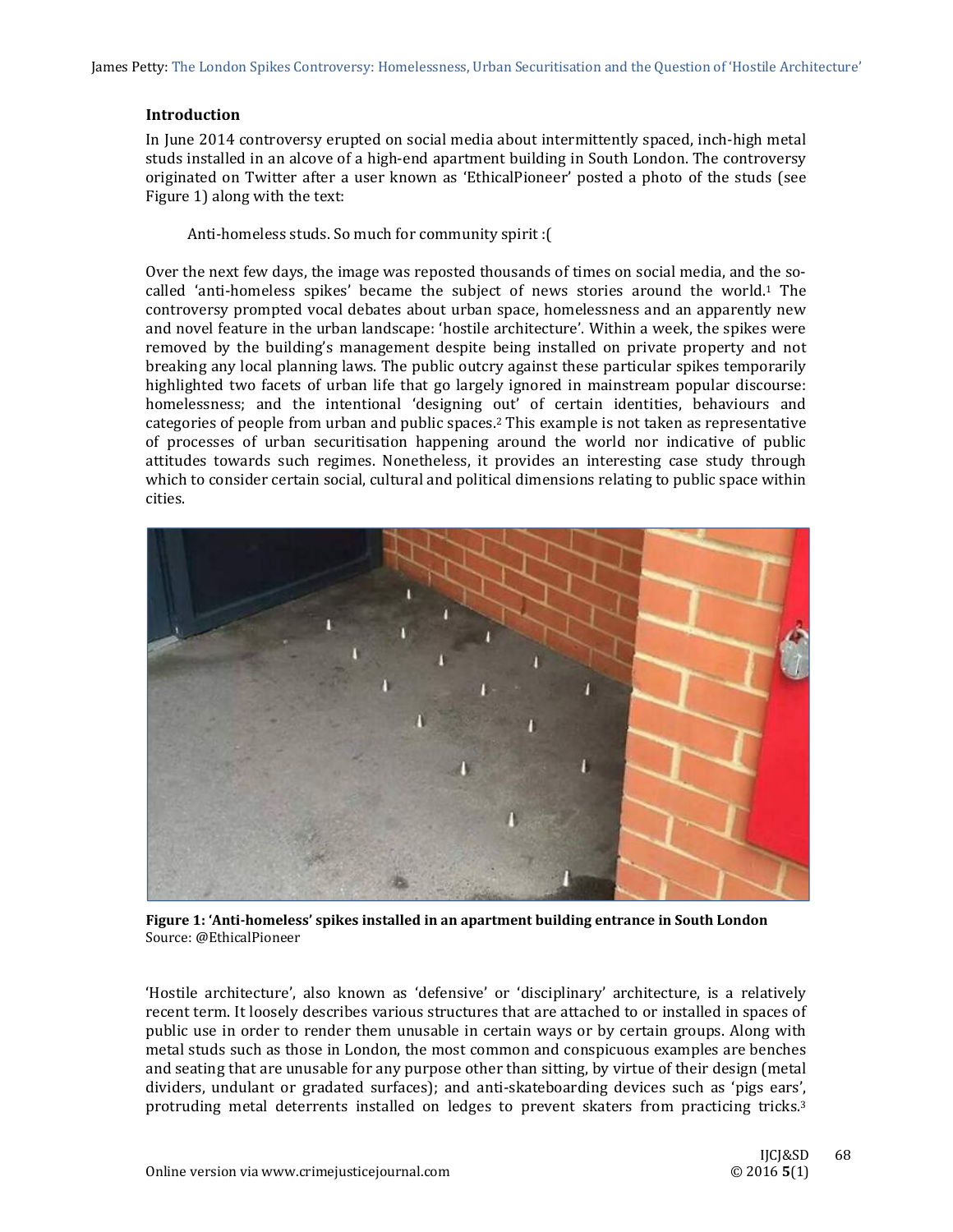James Petty: The London Spikes Controversy: Homelessness, Urban Securitisation and the Question of 'Hostile Architecture'

## **Introduction**

In June 2014 controversy erupted on social media about intermittently spaced, inch-high metal studs installed in an alcove of a high-end apartment building in South London. The controversy originated on Twitter after a user known as 'EthicalPioneer' posted a photo of the studs (see Figure 1) along with the text:

Anti-homeless studs. So much for community spirit : [

Over the next few days, the image was reposted thousands of times on social media, and the socalled 'anti-homeless spikes' became the subject of news stories around the world.<sup>1</sup> The controversy prompted vocal debates about urban space, homelessness and an apparently new and novel feature in the urban landscape: 'hostile architecture'. Within a week, the spikes were removed by the building's management despite being installed on private property and not breaking any local planning laws. The public outcry against these particular spikes temporarily highlighted two facets of urban life that go largely ignored in mainstream popular discourse: homelessness; and the intentional 'designing out' of certain identities, behaviours and categories of people from urban and public spaces.<sup>2</sup> This example is not taken as representative of processes of urban securitisation happening around the world nor indicative of public attitudes towards such regimes. Nonetheless, it provides an interesting case study through which to consider certain social, cultural and political dimensions relating to public space within cities. 



**Figure 1: 'Anti‐homeless' spikes installed in an apartment building entrance in South London**  Source: @EthicalPioneer

'Hostile architecture', also known as 'defensive' or 'disciplinary' architecture, is a relatively recent term. It loosely describes various structures that are attached to or installed in spaces of public use in order to render them unusable in certain ways or by certain groups. Along with metal studs such as those in London, the most common and conspicuous examples are benches and seating that are unusable for any purpose other than sitting, by virtue of their design (metal dividers, undulant or gradated surfaces); and anti-skateboarding devices such as 'pigs ears', protruding metal deterrents installed on ledges to prevent skaters from practicing tricks.<sup>3</sup>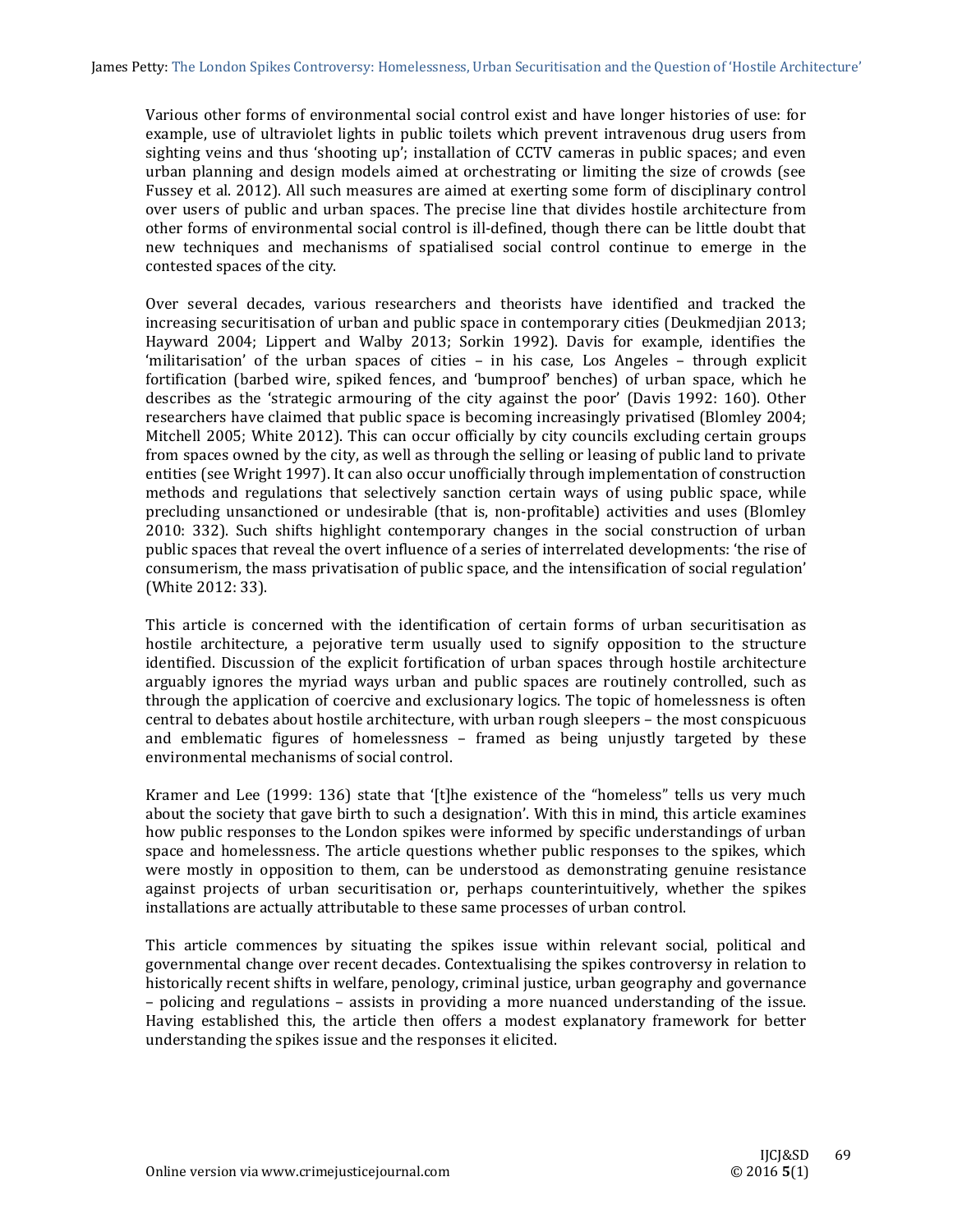Various other forms of environmental social control exist and have longer histories of use: for example, use of ultraviolet lights in public toilets which prevent intravenous drug users from sighting veins and thus 'shooting up'; installation of CCTV cameras in public spaces; and even urban planning and design models aimed at orchestrating or limiting the size of crowds (see Fussey et al. 2012). All such measures are aimed at exerting some form of disciplinary control over users of public and urban spaces. The precise line that divides hostile architecture from other forms of environmental social control is ill-defined, though there can be little doubt that new techniques and mechanisms of spatialised social control continue to emerge in the contested spaces of the city.

Over several decades, various researchers and theorists have identified and tracked the increasing securitisation of urban and public space in contemporary cities (Deukmedjian 2013; Hayward 2004; Lippert and Walby 2013; Sorkin 1992). Davis for example, identifies the 'militarisation' of the urban spaces of cities – in his case, Los Angeles – through explicit fortification (barbed wire, spiked fences, and 'bumproof' benches) of urban space, which he describes as the 'strategic armouring of the city against the poor' (Davis 1992: 160). Other researchers have claimed that public space is becoming increasingly privatised (Blomley 2004; Mitchell 2005; White 2012). This can occur officially by city councils excluding certain groups from spaces owned by the city, as well as through the selling or leasing of public land to private entities (see Wright 1997). It can also occur unofficially through implementation of construction methods and regulations that selectively sanction certain ways of using public space, while precluding unsanctioned or undesirable (that is, non-profitable) activities and uses (Blomley 2010: 332). Such shifts highlight contemporary changes in the social construction of urban public spaces that reveal the overt influence of a series of interrelated developments: 'the rise of consumerism, the mass privatisation of public space, and the intensification of social regulation' (White 2012: 33).

This article is concerned with the identification of certain forms of urban securitisation as hostile architecture, a pejorative term usually used to signify opposition to the structure identified. Discussion of the explicit fortification of urban spaces through hostile architecture arguably ignores the myriad ways urban and public spaces are routinely controlled, such as through the application of coercive and exclusionary logics. The topic of homelessness is often central to debates about hostile architecture, with urban rough sleepers - the most conspicuous and emblematic figures of homelessness  $-$  framed as being unjustly targeted by these environmental mechanisms of social control

Kramer and Lee (1999: 136) state that '[t]he existence of the "homeless" tells us very much about the society that gave birth to such a designation'. With this in mind, this article examines how public responses to the London spikes were informed by specific understandings of urban space and homelessness. The article questions whether public responses to the spikes, which were mostly in opposition to them, can be understood as demonstrating genuine resistance against projects of urban securitisation or, perhaps counterintuitively, whether the spikes installations are actually attributable to these same processes of urban control.

This article commences by situating the spikes issue within relevant social, political and governmental change over recent decades. Contextualising the spikes controversy in relation to historically recent shifts in welfare, penology, criminal justice, urban geography and governance – policing and regulations – assists in providing a more nuanced understanding of the issue. Having established this, the article then offers a modest explanatory framework for better understanding the spikes issue and the responses it elicited.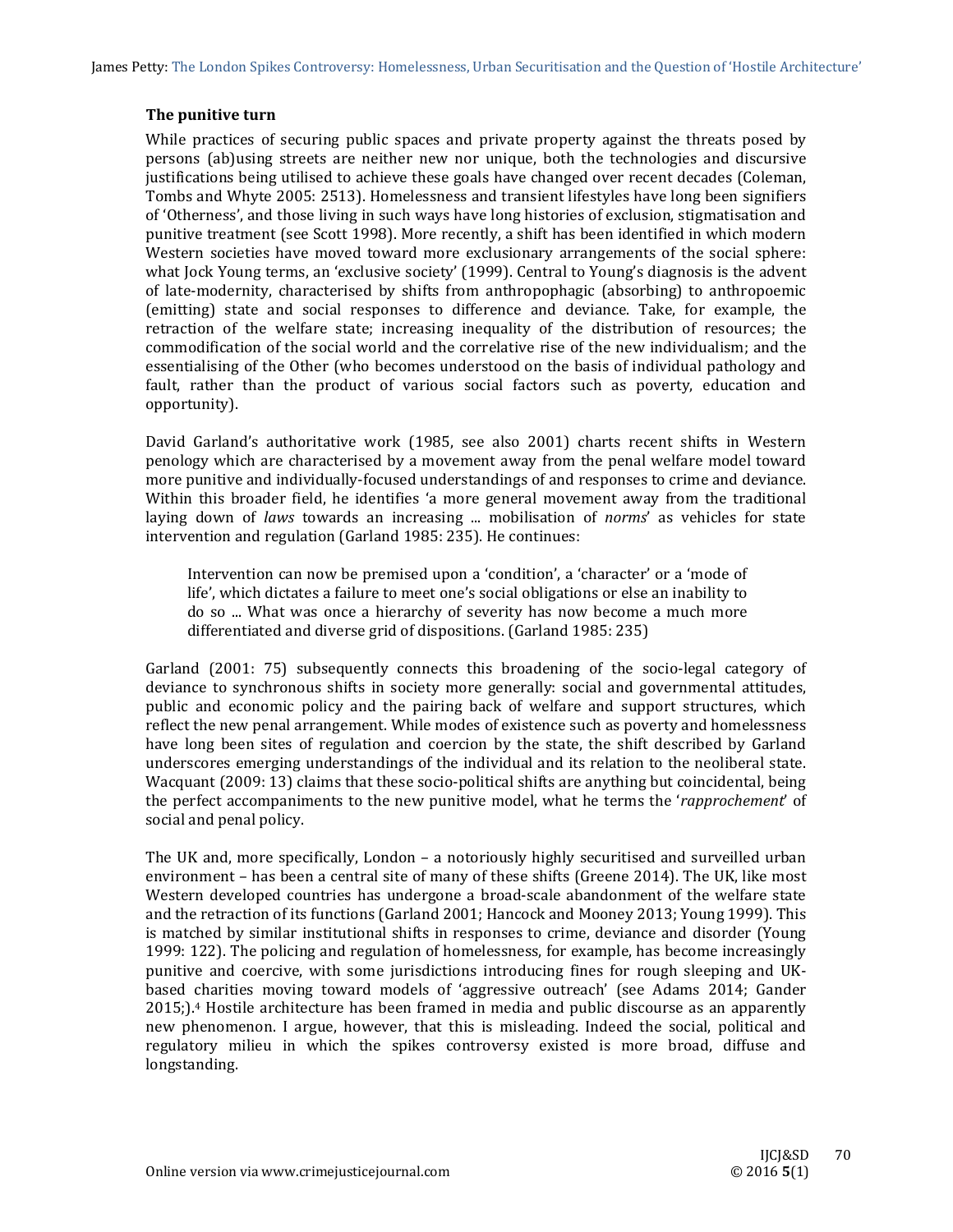# **The punitive turn**

While practices of securing public spaces and private property against the threats posed by persons (ab)using streets are neither new nor unique, both the technologies and discursive justifications being utilised to achieve these goals have changed over recent decades (Coleman, Tombs and Whyte 2005: 2513). Homelessness and transient lifestyles have long been signifiers of 'Otherness', and those living in such ways have long histories of exclusion, stigmatisation and punitive treatment (see Scott 1998). More recently, a shift has been identified in which modern Western societies have moved toward more exclusionary arrangements of the social sphere: what Jock Young terms, an 'exclusive society' (1999). Central to Young's diagnosis is the advent of late-modernity, characterised by shifts from anthropophagic (absorbing) to anthropoemic (emitting) state and social responses to difference and deviance. Take, for example, the retraction of the welfare state; increasing inequality of the distribution of resources; the commodification of the social world and the correlative rise of the new individualism; and the essentialising of the Other (who becomes understood on the basis of individual pathology and fault, rather than the product of various social factors such as poverty, education and opportunity). 

David Garland's authoritative work (1985, see also 2001) charts recent shifts in Western penology which are characterised by a movement away from the penal welfare model toward more punitive and individually-focused understandings of and responses to crime and deviance. Within this broader field, he identifies 'a more general movement away from the traditional laying down of *laws* towards an increasing ... mobilisation of *norms'* as vehicles for state intervention and regulation (Garland 1985: 235). He continues:

Intervention can now be premised upon a 'condition', a 'character' or a 'mode of life', which dictates a failure to meet one's social obligations or else an inability to do so ... What was once a hierarchy of severity has now become a much more differentiated and diverse grid of dispositions. (Garland 1985: 235)

Garland  $(2001: 75)$  subsequently connects this broadening of the socio-legal category of deviance to synchronous shifts in society more generally: social and governmental attitudes, public and economic policy and the pairing back of welfare and support structures, which reflect the new penal arrangement. While modes of existence such as poverty and homelessness have long been sites of regulation and coercion by the state, the shift described by Garland underscores emerging understandings of the individual and its relation to the neoliberal state. Wacquant (2009: 13) claims that these socio-political shifts are anything but coincidental, being the perfect accompaniments to the new punitive model, what he terms the '*rapprochement'* of social and penal policy.

The UK and, more specifically, London – a notoriously highly securitised and surveilled urban environment – has been a central site of many of these shifts (Greene 2014). The UK, like most Western developed countries has undergone a broad-scale abandonment of the welfare state and the retraction of its functions (Garland 2001; Hancock and Mooney 2013; Young 1999). This is matched by similar institutional shifts in responses to crime, deviance and disorder (Young 1999: 122). The policing and regulation of homelessness, for example, has become increasingly punitive and coercive, with some jurisdictions introducing fines for rough sleeping and UKbased charities moving toward models of 'aggressive outreach' (see Adams 2014; Gander  $2015$ ;).<sup>4</sup> Hostile architecture has been framed in media and public discourse as an apparently new phenomenon. I argue, however, that this is misleading. Indeed the social, political and regulatory milieu in which the spikes controversy existed is more broad, diffuse and longstanding.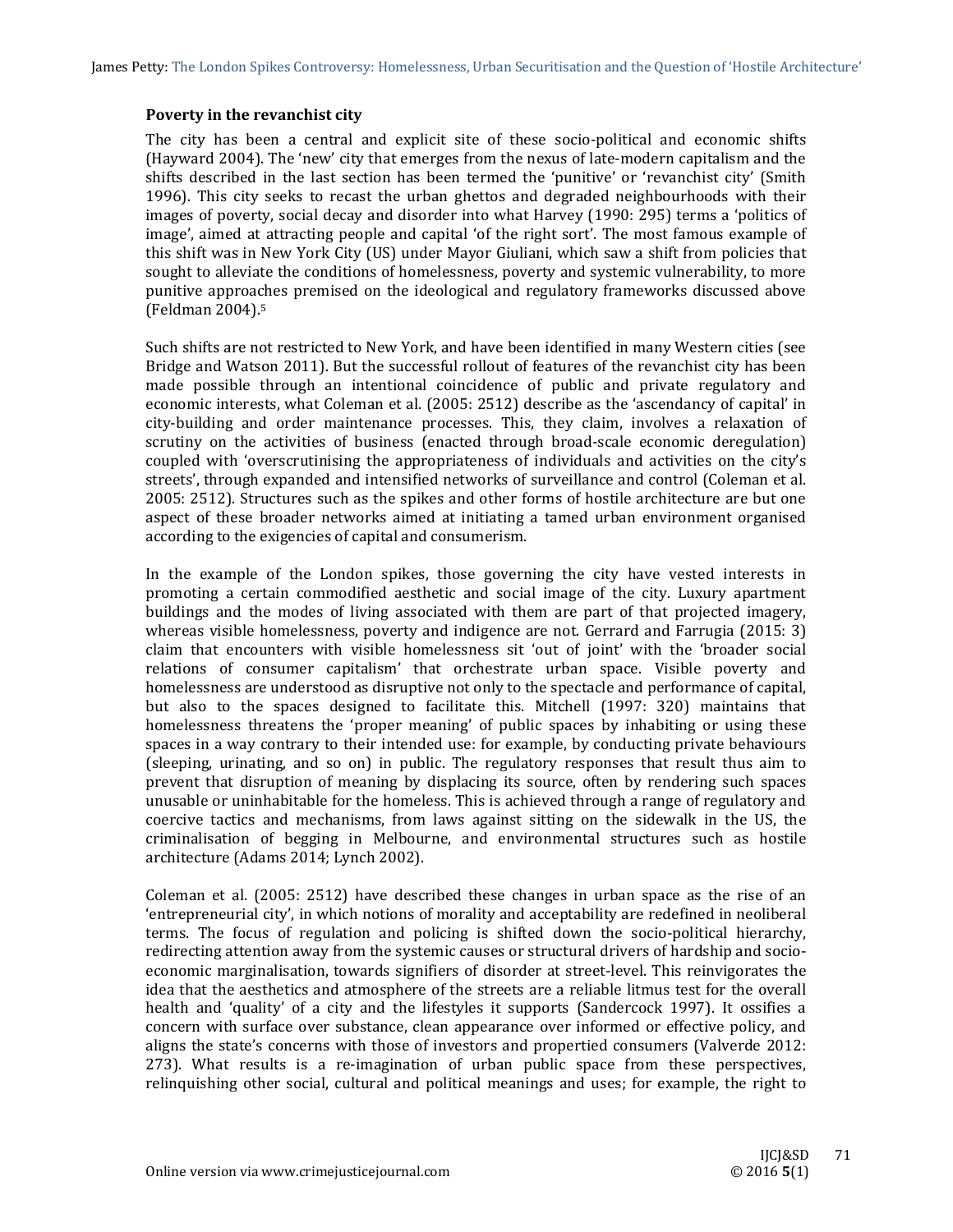James Petty: The London Spikes Controversy: Homelessness, Urban Securitisation and the Question of 'Hostile Architecture'

## **Poverty in the revanchist city**

The city has been a central and explicit site of these socio-political and economic shifts (Hayward 2004). The 'new' city that emerges from the nexus of late-modern capitalism and the shifts described in the last section has been termed the 'punitive' or 'revanchist city' (Smith 1996). This city seeks to recast the urban ghettos and degraded neighbourhoods with their images of poverty, social decay and disorder into what Harvey (1990: 295) terms a 'politics of image', aimed at attracting people and capital 'of the right sort'. The most famous example of this shift was in New York City (US) under Mayor Giuliani, which saw a shift from policies that sought to alleviate the conditions of homelessness, poverty and systemic vulnerability, to more punitive approaches premised on the ideological and regulatory frameworks discussed above (Feldman 2004).5 

Such shifts are not restricted to New York, and have been identified in many Western cities (see Bridge and Watson 2011). But the successful rollout of features of the revanchist city has been made possible through an intentional coincidence of public and private regulatory and economic interests, what Coleman et al. (2005: 2512) describe as the 'ascendancy of capital' in city-building and order maintenance processes. This, they claim, involves a relaxation of scrutiny on the activities of business (enacted through broad-scale economic deregulation) coupled with 'overscrutinising the appropriateness of individuals and activities on the city's streets', through expanded and intensified networks of surveillance and control (Coleman et al. 2005: 2512). Structures such as the spikes and other forms of hostile architecture are but one aspect of these broader networks aimed at initiating a tamed urban environment organised according to the exigencies of capital and consumerism.

In the example of the London spikes, those governing the city have vested interests in promoting a certain commodified aesthetic and social image of the city. Luxury apartment buildings and the modes of living associated with them are part of that projected imagery, whereas visible homelessness, poverty and indigence are not. Gerrard and Farrugia  $(2015: 3)$ claim that encounters with visible homelessness sit 'out of joint' with the 'broader social relations of consumer capitalism' that orchestrate urban space. Visible poverty and homelessness are understood as disruptive not only to the spectacle and performance of capital, but also to the spaces designed to facilitate this. Mitchell (1997: 320) maintains that homelessness threatens the 'proper meaning' of public spaces by inhabiting or using these spaces in a way contrary to their intended use: for example, by conducting private behaviours (sleeping, urinating, and so on) in public. The regulatory responses that result thus aim to prevent that disruption of meaning by displacing its source, often by rendering such spaces unusable or uninhabitable for the homeless. This is achieved through a range of regulatory and coercive tactics and mechanisms, from laws against sitting on the sidewalk in the US, the criminalisation of begging in Melbourne, and environmental structures such as hostile architecture (Adams 2014; Lynch 2002).

Coleman et al.  $(2005: 2512)$  have described these changes in urban space as the rise of an 'entrepreneurial city', in which notions of morality and acceptability are redefined in neoliberal terms. The focus of regulation and policing is shifted down the socio-political hierarchy, redirecting attention away from the systemic causes or structural drivers of hardship and socioeconomic marginalisation, towards signifiers of disorder at street-level. This reinvigorates the idea that the aesthetics and atmosphere of the streets are a reliable litmus test for the overall health and 'quality' of a city and the lifestyles it supports (Sandercock 1997). It ossifies a concern with surface over substance, clean appearance over informed or effective policy, and aligns the state's concerns with those of investors and propertied consumers (Valverde 2012: 273). What results is a re-imagination of urban public space from these perspectives, relinquishing other social, cultural and political meanings and uses; for example, the right to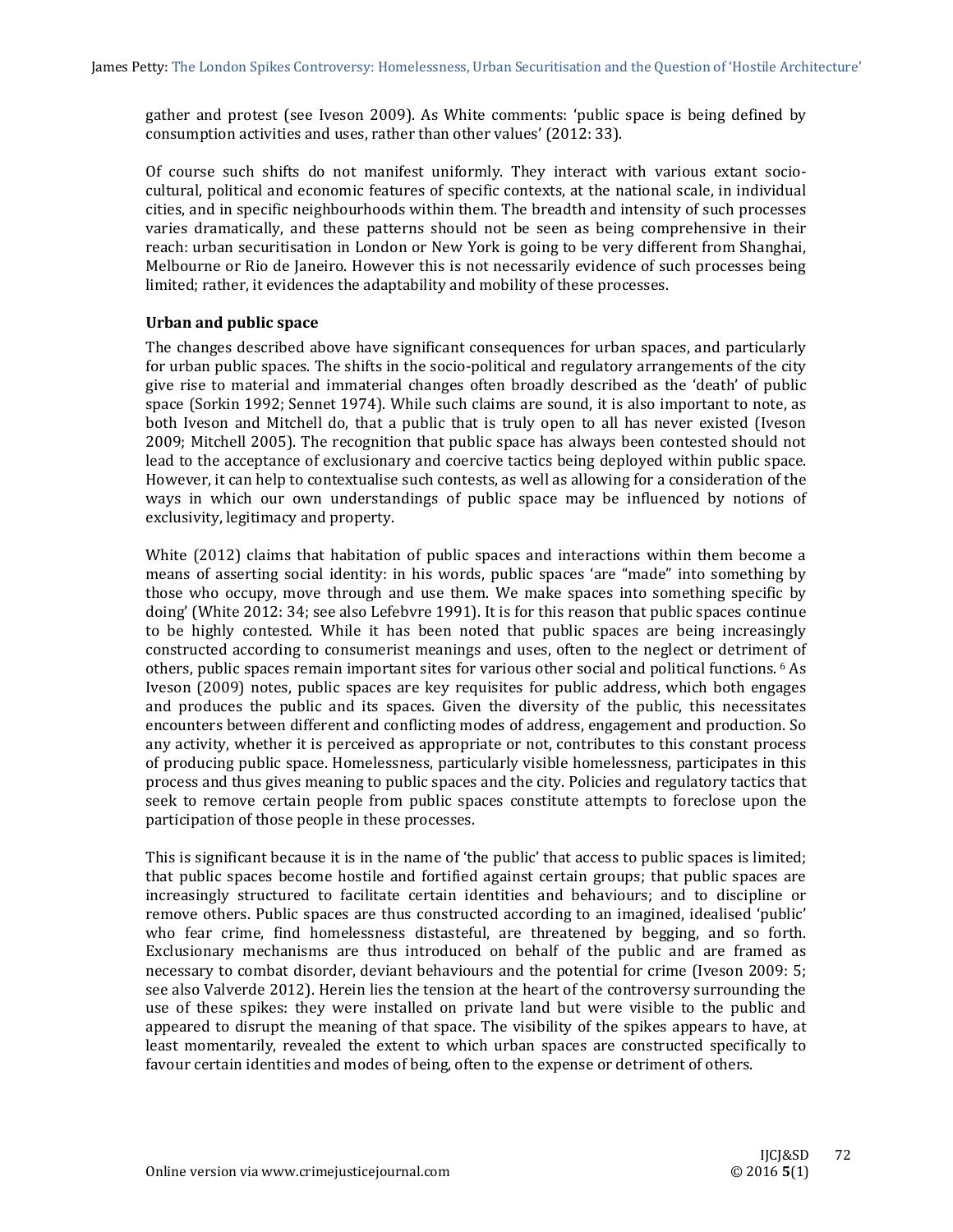gather and protest (see Iveson 2009). As White comments: 'public space is being defined by consumption activities and uses, rather than other values' (2012: 33).

Of course such shifts do not manifest uniformly. They interact with various extant sociocultural, political and economic features of specific contexts, at the national scale, in individual cities, and in specific neighbourhoods within them. The breadth and intensity of such processes varies dramatically, and these patterns should not be seen as being comprehensive in their reach: urban securitisation in London or New York is going to be very different from Shanghai, Melbourne or Rio de Janeiro. However this is not necessarily evidence of such processes being limited; rather, it evidences the adaptability and mobility of these processes.

# **Urban and public space**

The changes described above have significant consequences for urban spaces, and particularly for urban public spaces. The shifts in the socio-political and regulatory arrangements of the city give rise to material and immaterial changes often broadly described as the 'death' of public space (Sorkin 1992; Sennet 1974). While such claims are sound, it is also important to note, as both Iveson and Mitchell do, that a public that is truly open to all has never existed (Iveson 2009; Mitchell 2005). The recognition that public space has always been contested should not lead to the acceptance of exclusionary and coercive tactics being deployed within public space. However, it can help to contextualise such contests, as well as allowing for a consideration of the ways in which our own understandings of public space may be influenced by notions of exclusivity, legitimacy and property.

White  $(2012)$  claims that habitation of public spaces and interactions within them become a means of asserting social identity: in his words, public spaces 'are "made" into something by those who occupy, move through and use them. We make spaces into something specific by doing' (White  $2012: 34$ ; see also Lefebvre 1991). It is for this reason that public spaces continue to be highly contested. While it has been noted that public spaces are being increasingly constructed according to consumerist meanings and uses, often to the neglect or detriment of others, public spaces remain important sites for various other social and political functions. <sup>6</sup> As Iveson (2009) notes, public spaces are key requisites for public address, which both engages and produces the public and its spaces. Given the diversity of the public, this necessitates encounters between different and conflicting modes of address, engagement and production. So any activity, whether it is perceived as appropriate or not, contributes to this constant process of producing public space. Homelessness, particularly visible homelessness, participates in this process and thus gives meaning to public spaces and the city. Policies and regulatory tactics that seek to remove certain people from public spaces constitute attempts to foreclose upon the participation of those people in these processes.

This is significant because it is in the name of 'the public' that access to public spaces is limited; that public spaces become hostile and fortified against certain groups; that public spaces are increasingly structured to facilitate certain identities and behaviours; and to discipline or remove others. Public spaces are thus constructed according to an imagined, idealised 'public' who fear crime, find homelessness distasteful, are threatened by begging, and so forth. Exclusionary mechanisms are thus introduced on behalf of the public and are framed as necessary to combat disorder, deviant behaviours and the potential for crime (Iveson 2009: 5; see also Valverde 2012). Herein lies the tension at the heart of the controversy surrounding the use of these spikes: they were installed on private land but were visible to the public and appeared to disrupt the meaning of that space. The visibility of the spikes appears to have, at least momentarily, revealed the extent to which urban spaces are constructed specifically to favour certain identities and modes of being, often to the expense or detriment of others.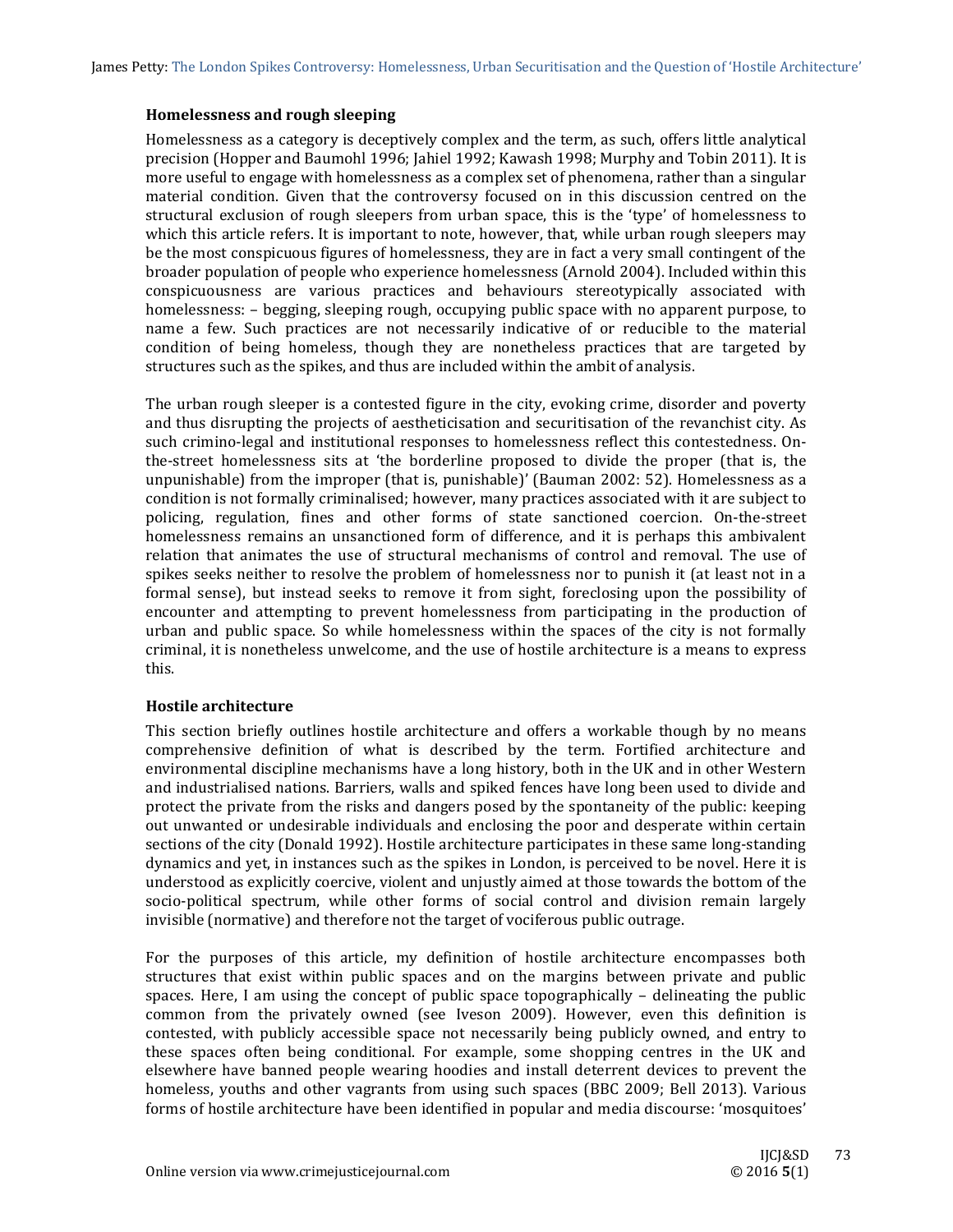## **Homelessness and rough sleeping**

Homelessness as a category is deceptively complex and the term, as such, offers little analytical precision (Hopper and Baumohl 1996; Jahiel 1992; Kawash 1998; Murphy and Tobin 2011). It is more useful to engage with homelessness as a complex set of phenomena, rather than a singular material condition. Given that the controversy focused on in this discussion centred on the structural exclusion of rough sleepers from urban space, this is the 'type' of homelessness to which this article refers. It is important to note, however, that, while urban rough sleepers may be the most conspicuous figures of homelessness, they are in fact a very small contingent of the broader population of people who experience homelessness (Arnold 2004). Included within this conspicuousness are various practices and behaviours stereotypically associated with homelessness:  $-$  begging, sleeping rough, occupying public space with no apparent purpose, to name a few. Such practices are not necessarily indicative of or reducible to the material condition of being homeless, though they are nonetheless practices that are targeted by structures such as the spikes, and thus are included within the ambit of analysis.

The urban rough sleeper is a contested figure in the city, evoking crime, disorder and poverty and thus disrupting the projects of aestheticisation and securitisation of the revanchist city. As such crimino-legal and institutional responses to homelessness reflect this contestedness. Onthe-street homelessness sits at 'the borderline proposed to divide the proper (that is, the unpunishable) from the improper (that is, punishable)' (Bauman 2002:  $52$ ). Homelessness as a condition is not formally criminalised; however, many practices associated with it are subject to policing, regulation, fines and other forms of state sanctioned coercion. On-the-street homelessness remains an unsanctioned form of difference, and it is perhaps this ambivalent relation that animates the use of structural mechanisms of control and removal. The use of spikes seeks neither to resolve the problem of homelessness nor to punish it (at least not in a formal sense), but instead seeks to remove it from sight, foreclosing upon the possibility of encounter and attempting to prevent homelessness from participating in the production of urban and public space. So while homelessness within the spaces of the city is not formally criminal, it is nonetheless unwelcome, and the use of hostile architecture is a means to express this. 

## **Hostile architecture**

This section briefly outlines hostile architecture and offers a workable though by no means comprehensive definition of what is described by the term. Fortified architecture and environmental discipline mechanisms have a long history, both in the UK and in other Western and industrialised nations. Barriers, walls and spiked fences have long been used to divide and protect the private from the risks and dangers posed by the spontaneity of the public: keeping out unwanted or undesirable individuals and enclosing the poor and desperate within certain sections of the city (Donald 1992). Hostile architecture participates in these same long-standing dynamics and yet, in instances such as the spikes in London, is perceived to be novel. Here it is understood as explicitly coercive, violent and unjustly aimed at those towards the bottom of the socio-political spectrum, while other forms of social control and division remain largely invisible (normative) and therefore not the target of vociferous public outrage.

For the purposes of this article, my definition of hostile architecture encompasses both structures that exist within public spaces and on the margins between private and public spaces. Here, I am using the concept of public space topographically  $-$  delineating the public common from the privately owned (see Iveson 2009). However, even this definition is contested, with publicly accessible space not necessarily being publicly owned, and entry to these spaces often being conditional. For example, some shopping centres in the UK and elsewhere have banned people wearing hoodies and install deterrent devices to prevent the homeless, youths and other vagrants from using such spaces (BBC 2009; Bell 2013). Various forms of hostile architecture have been identified in popular and media discourse: 'mosquitoes'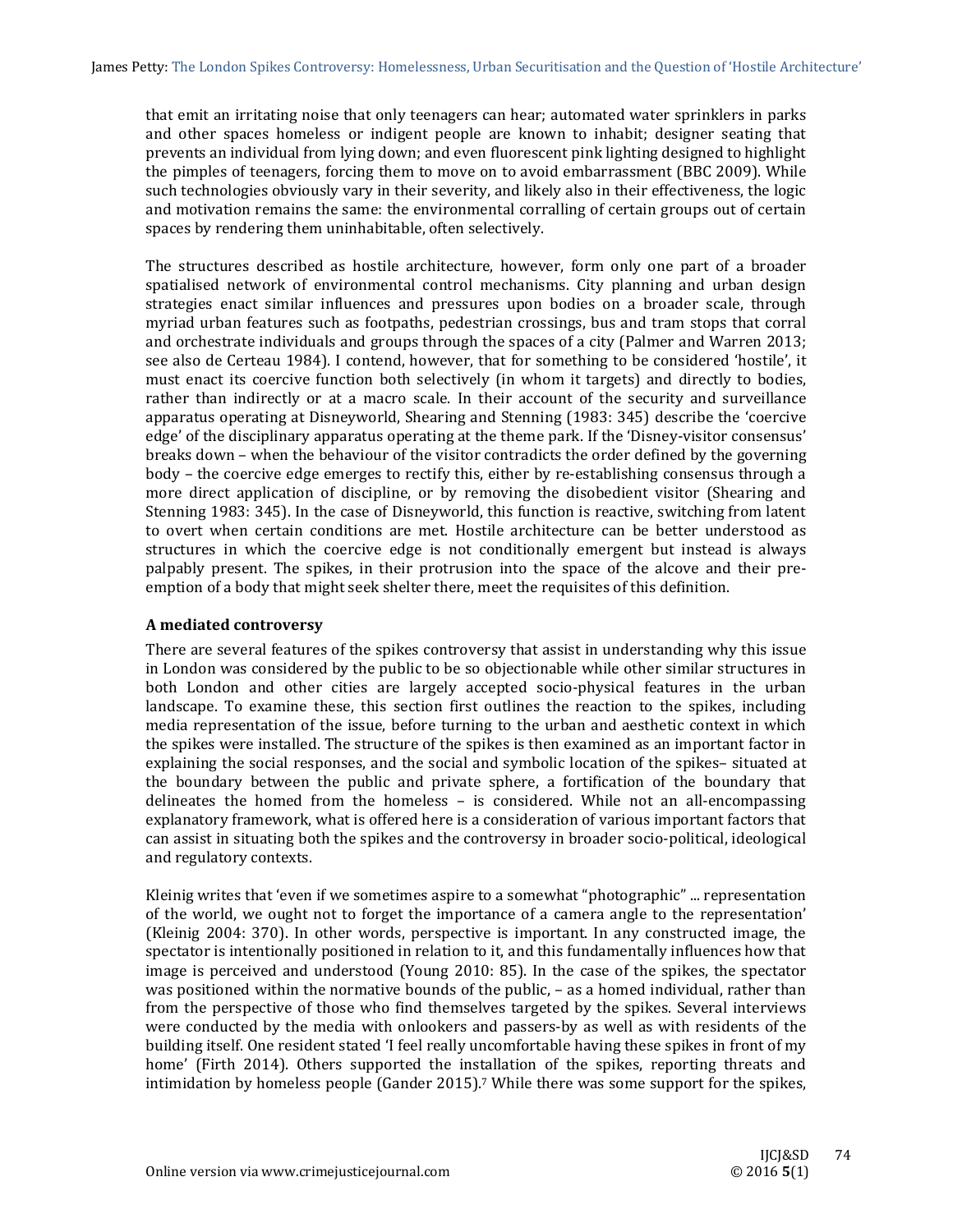that emit an irritating noise that only teenagers can hear; automated water sprinklers in parks and other spaces homeless or indigent people are known to inhabit; designer seating that prevents an individual from lying down; and even fluorescent pink lighting designed to highlight the pimples of teenagers, forcing them to move on to avoid embarrassment (BBC 2009). While such technologies obviously vary in their severity, and likely also in their effectiveness, the logic and motivation remains the same: the environmental corralling of certain groups out of certain spaces by rendering them uninhabitable, often selectively.

The structures described as hostile architecture, however, form only one part of a broader spatialised network of environmental control mechanisms. City planning and urban design strategies enact similar influences and pressures upon bodies on a broader scale, through myriad urban features such as footpaths, pedestrian crossings, bus and tram stops that corral and orchestrate individuals and groups through the spaces of a city (Palmer and Warren 2013; see also de Certeau 1984). I contend, however, that for something to be considered 'hostile', it must enact its coercive function both selectively (in whom it targets) and directly to bodies, rather than indirectly or at a macro scale. In their account of the security and surveillance apparatus operating at Disneyworld, Shearing and Stenning (1983: 345) describe the 'coercive edge' of the disciplinary apparatus operating at the theme park. If the 'Disney-visitor consensus' breaks down – when the behaviour of the visitor contradicts the order defined by the governing body – the coercive edge emerges to rectify this, either by re-establishing consensus through a more direct application of discipline, or by removing the disobedient visitor (Shearing and Stenning 1983: 345). In the case of Disneyworld, this function is reactive, switching from latent to overt when certain conditions are met. Hostile architecture can be better understood as structures in which the coercive edge is not conditionally emergent but instead is always palpably present. The spikes, in their protrusion into the space of the alcove and their preemption of a body that might seek shelter there, meet the requisites of this definition.

# **A mediated controversy**

There are several features of the spikes controversy that assist in understanding why this issue in London was considered by the public to be so objectionable while other similar structures in both London and other cities are largely accepted socio-physical features in the urban landscape. To examine these, this section first outlines the reaction to the spikes, including media representation of the issue, before turning to the urban and aesthetic context in which the spikes were installed. The structure of the spikes is then examined as an important factor in explaining the social responses, and the social and symbolic location of the spikes- situated at the boundary between the public and private sphere, a fortification of the boundary that delineates the homed from the homeless  $-$  is considered. While not an all-encompassing explanatory framework, what is offered here is a consideration of various important factors that can assist in situating both the spikes and the controversy in broader socio-political, ideological and regulatory contexts.

Kleinig writes that 'even if we sometimes aspire to a somewhat "photographic" ... representation of the world, we ought not to forget the importance of a camera angle to the representation' (Kleinig 2004: 370). In other words, perspective is important. In any constructed image, the spectator is intentionally positioned in relation to it, and this fundamentally influences how that image is perceived and understood (Young 2010: 85). In the case of the spikes, the spectator was positioned within the normative bounds of the public,  $-$  as a homed individual, rather than from the perspective of those who find themselves targeted by the spikes. Several interviews were conducted by the media with onlookers and passers-by as well as with residents of the building itself. One resident stated 'I feel really uncomfortable having these spikes in front of my home' (Firth 2014). Others supported the installation of the spikes, reporting threats and intimidation by homeless people  $(Gander 2015)$ .<sup>7</sup> While there was some support for the spikes,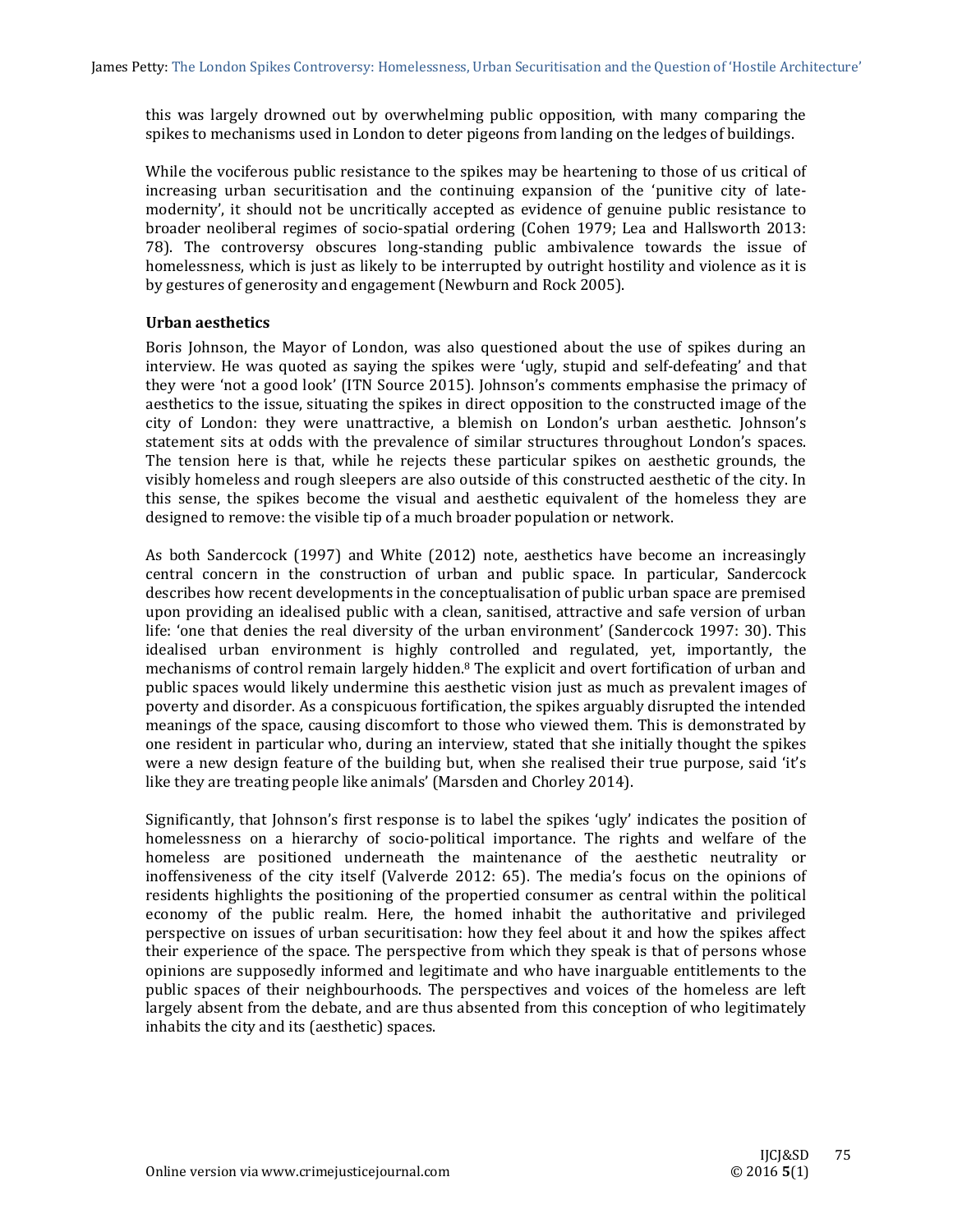this was largely drowned out by overwhelming public opposition, with many comparing the spikes to mechanisms used in London to deter pigeons from landing on the ledges of buildings.

While the vociferous public resistance to the spikes may be heartening to those of us critical of increasing urban securitisation and the continuing expansion of the 'punitive city of latemodernity', it should not be uncritically accepted as evidence of genuine public resistance to broader neoliberal regimes of socio-spatial ordering (Cohen 1979; Lea and Hallsworth 2013: 78). The controversy obscures long-standing public ambivalence towards the issue of homelessness, which is just as likely to be interrupted by outright hostility and violence as it is by gestures of generosity and engagement (Newburn and Rock 2005).

# **Urban aesthetics**

Boris Johnson, the Mayor of London, was also questioned about the use of spikes during an interview. He was quoted as saying the spikes were 'ugly, stupid and self-defeating' and that they were 'not a good look' (ITN Source 2015). Johnson's comments emphasise the primacy of aesthetics to the issue, situating the spikes in direct opposition to the constructed image of the city of London: they were unattractive, a blemish on London's urban aesthetic. Johnson's statement sits at odds with the prevalence of similar structures throughout London's spaces. The tension here is that, while he rejects these particular spikes on aesthetic grounds, the visibly homeless and rough sleepers are also outside of this constructed aesthetic of the city. In this sense, the spikes become the visual and aesthetic equivalent of the homeless they are designed to remove: the visible tip of a much broader population or network.

As both Sandercock (1997) and White (2012) note, aesthetics have become an increasingly central concern in the construction of urban and public space. In particular, Sandercock describes how recent developments in the conceptualisation of public urban space are premised upon providing an idealised public with a clean, sanitised, attractive and safe version of urban life: 'one that denies the real diversity of the urban environment' (Sandercock 1997: 30). This idealised urban environment is highly controlled and regulated, yet, importantly, the mechanisms of control remain largely hidden.<sup>8</sup> The explicit and overt fortification of urban and public spaces would likely undermine this aesthetic vision just as much as prevalent images of poverty and disorder. As a conspicuous fortification, the spikes arguably disrupted the intended meanings of the space, causing discomfort to those who viewed them. This is demonstrated by one resident in particular who, during an interview, stated that she initially thought the spikes were a new design feature of the building but, when she realised their true purpose, said 'it's like they are treating people like animals' (Marsden and Chorley 2014).

Significantly, that  $\alpha$  ohnson's first response is to label the spikes 'ugly' indicates the position of homelessness on a hierarchy of socio-political importance. The rights and welfare of the homeless are positioned underneath the maintenance of the aesthetic neutrality or inoffensiveness of the city itself (Valverde 2012: 65). The media's focus on the opinions of residents highlights the positioning of the propertied consumer as central within the political economy of the public realm. Here, the homed inhabit the authoritative and privileged perspective on issues of urban securitisation: how they feel about it and how the spikes affect their experience of the space. The perspective from which they speak is that of persons whose opinions are supposedly informed and legitimate and who have inarguable entitlements to the public spaces of their neighbourhoods. The perspectives and voices of the homeless are left largely absent from the debate, and are thus absented from this conception of who legitimately inhabits the city and its (aesthetic) spaces.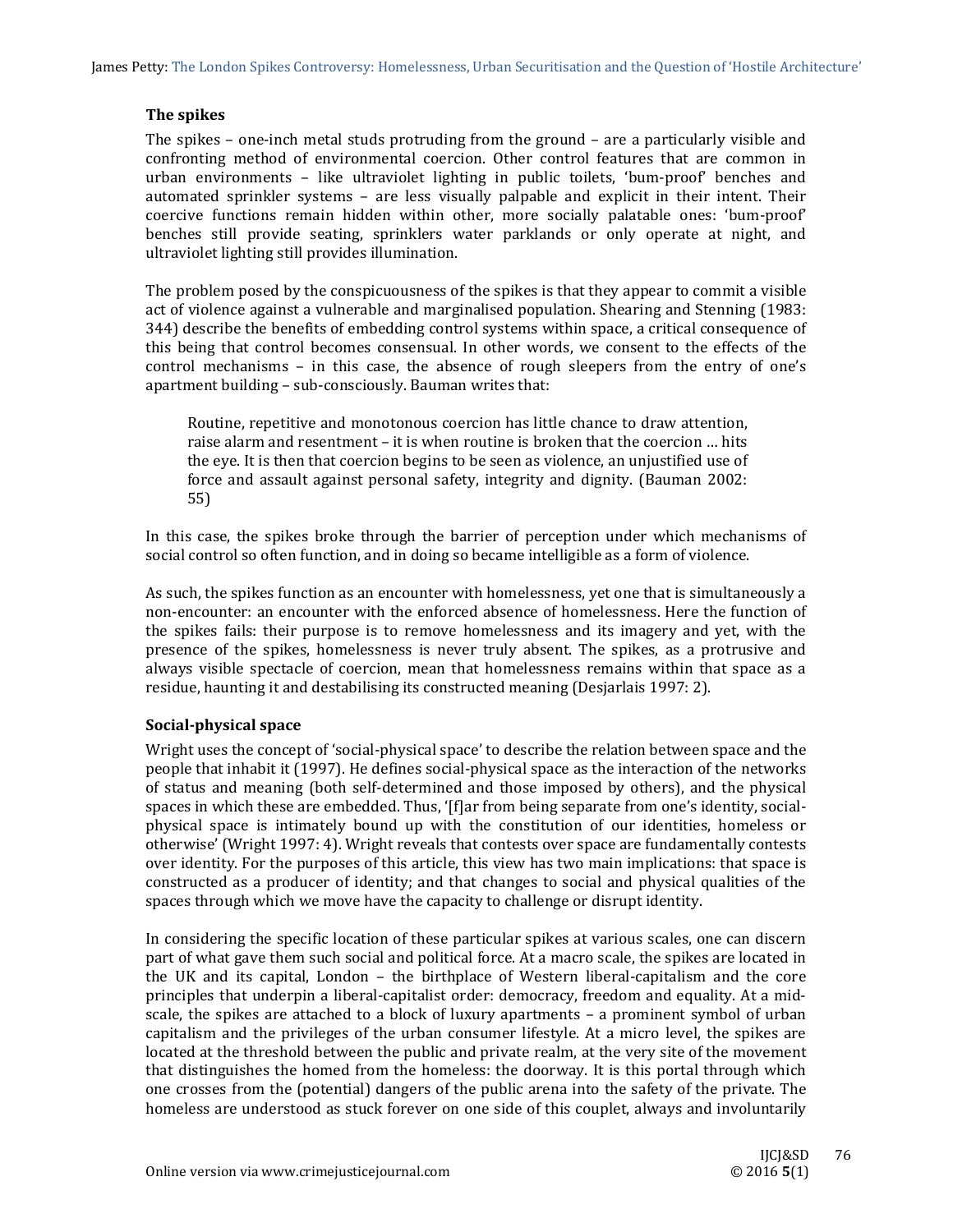# **The spikes**

The spikes – one-inch metal studs protruding from the ground – are a particularly visible and confronting method of environmental coercion. Other control features that are common in urban environments – like ultraviolet lighting in public toilets, 'bum-proof' benches and automated sprinkler systems – are less visually palpable and explicit in their intent. Their coercive functions remain hidden within other, more socially palatable ones: 'bum-proof' benches still provide seating, sprinklers water parklands or only operate at night, and ultraviolet lighting still provides illumination.

The problem posed by the conspicuousness of the spikes is that they appear to commit a visible act of violence against a vulnerable and marginalised population. Shearing and Stenning (1983: 344) describe the benefits of embedding control systems within space, a critical consequence of this being that control becomes consensual. In other words, we consent to the effects of the control mechanisms  $-$  in this case, the absence of rough sleepers from the entry of one's apartment building – sub-consciously. Bauman writes that:

Routine, repetitive and monotonous coercion has little chance to draw attention, raise alarm and resentment  $-$  it is when routine is broken that the coercion  $\ldots$  hits the eye. It is then that coercion begins to be seen as violence, an unjustified use of force and assault against personal safety, integrity and dignity. (Bauman 2002: 55) 

In this case, the spikes broke through the barrier of perception under which mechanisms of social control so often function, and in doing so became intelligible as a form of violence.

As such, the spikes function as an encounter with homelessness, yet one that is simultaneously a non-encounter: an encounter with the enforced absence of homelessness. Here the function of the spikes fails: their purpose is to remove homelessness and its imagery and yet, with the presence of the spikes, homelessness is never truly absent. The spikes, as a protrusive and always visible spectacle of coercion, mean that homelessness remains within that space as a residue, haunting it and destabilising its constructed meaning (Desjarlais 1997: 2).

## **Social‐physical space**

Wright uses the concept of 'social-physical space' to describe the relation between space and the people that inhabit it (1997). He defines social-physical space as the interaction of the networks of status and meaning (both self-determined and those imposed by others), and the physical spaces in which these are embedded. Thus, '[f]ar from being separate from one's identity, socialphysical space is intimately bound up with the constitution of our identities, homeless or otherwise' (Wright 1997: 4). Wright reveals that contests over space are fundamentally contests over identity. For the purposes of this article, this view has two main implications: that space is constructed as a producer of identity; and that changes to social and physical qualities of the spaces through which we move have the capacity to challenge or disrupt identity.

In considering the specific location of these particular spikes at various scales, one can discern part of what gave them such social and political force. At a macro scale, the spikes are located in the UK and its capital, London – the birthplace of Western liberal-capitalism and the core principles that underpin a liberal-capitalist order: democracy, freedom and equality. At a midscale, the spikes are attached to a block of luxury apartments  $-$  a prominent symbol of urban capitalism and the privileges of the urban consumer lifestyle. At a micro level, the spikes are located at the threshold between the public and private realm, at the very site of the movement that distinguishes the homed from the homeless: the doorway. It is this portal through which one crosses from the (potential) dangers of the public arena into the safety of the private. The homeless are understood as stuck forever on one side of this couplet, always and involuntarily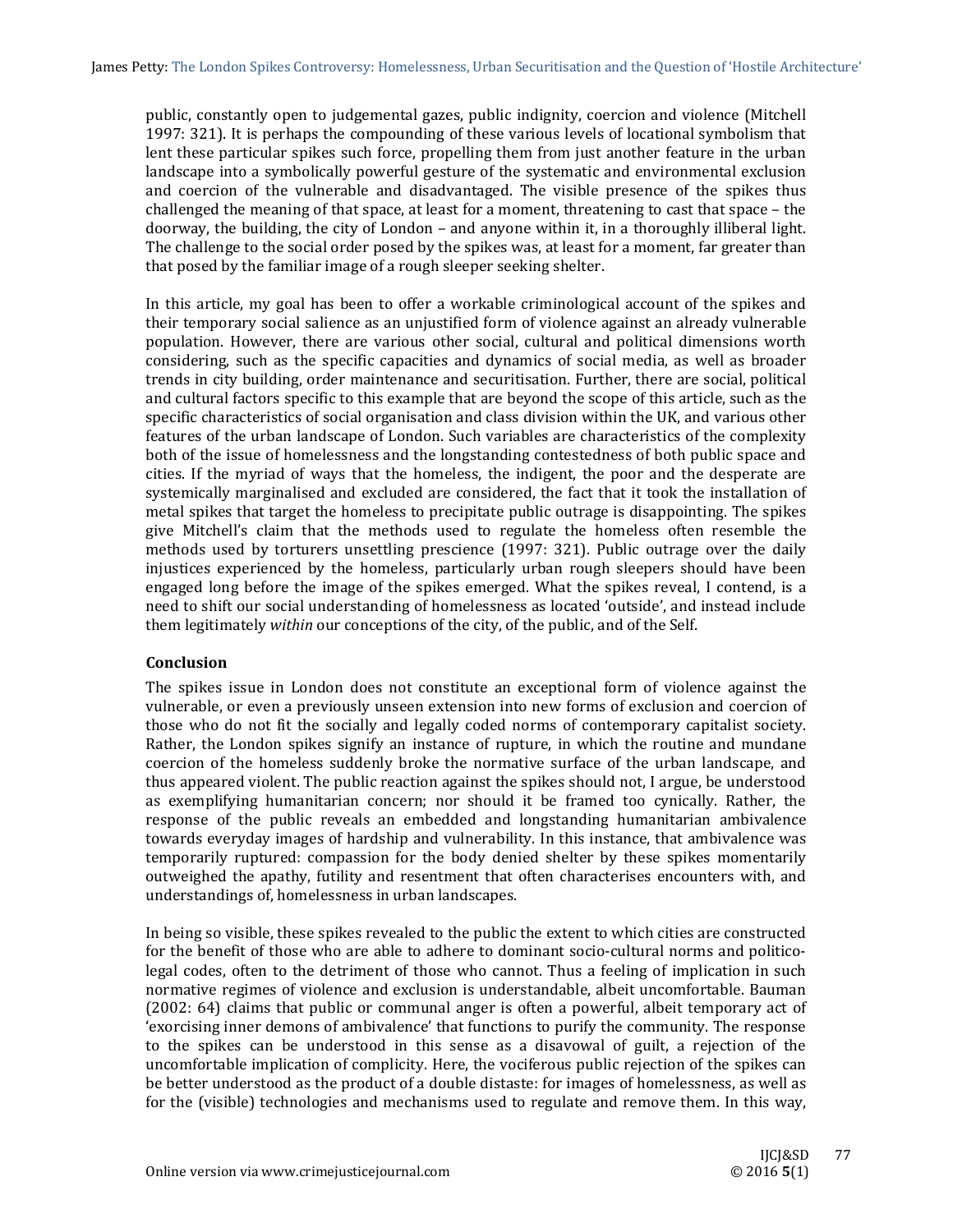public, constantly open to judgemental gazes, public indignity, coercion and violence (Mitchell 1997: 321). It is perhaps the compounding of these various levels of locational symbolism that lent these particular spikes such force, propelling them from just another feature in the urban landscape into a symbolically powerful gesture of the systematic and environmental exclusion and coercion of the vulnerable and disadvantaged. The visible presence of the spikes thus challenged the meaning of that space, at least for a moment, threatening to cast that space – the doorway, the building, the city of London – and anyone within it, in a thoroughly illiberal light. The challenge to the social order posed by the spikes was, at least for a moment, far greater than that posed by the familiar image of a rough sleeper seeking shelter.

In this article, my goal has been to offer a workable criminological account of the spikes and their temporary social salience as an unjustified form of violence against an already vulnerable population. However, there are various other social, cultural and political dimensions worth considering, such as the specific capacities and dynamics of social media, as well as broader trends in city building, order maintenance and securitisation. Further, there are social, political and cultural factors specific to this example that are beyond the scope of this article, such as the specific characteristics of social organisation and class division within the UK, and various other features of the urban landscape of London. Such variables are characteristics of the complexity both of the issue of homelessness and the longstanding contestedness of both public space and cities. If the myriad of ways that the homeless, the indigent, the poor and the desperate are systemically marginalised and excluded are considered, the fact that it took the installation of metal spikes that target the homeless to precipitate public outrage is disappointing. The spikes give Mitchell's claim that the methods used to regulate the homeless often resemble the methods used by torturers unsettling prescience (1997: 321). Public outrage over the daily injustices experienced by the homeless, particularly urban rough sleepers should have been engaged long before the image of the spikes emerged. What the spikes reveal, I contend, is a need to shift our social understanding of homelessness as located 'outside', and instead include them legitimately *within* our conceptions of the city, of the public, and of the Self.

## **Conclusion**

The spikes issue in London does not constitute an exceptional form of violence against the vulnerable, or even a previously unseen extension into new forms of exclusion and coercion of those who do not fit the socially and legally coded norms of contemporary capitalist society. Rather, the London spikes signify an instance of rupture, in which the routine and mundane coercion of the homeless suddenly broke the normative surface of the urban landscape, and thus appeared violent. The public reaction against the spikes should not, I argue, be understood as exemplifying humanitarian concern; nor should it be framed too cynically. Rather, the response of the public reveals an embedded and longstanding humanitarian ambivalence towards everyday images of hardship and vulnerability. In this instance, that ambivalence was temporarily ruptured: compassion for the body denied shelter by these spikes momentarily outweighed the apathy, futility and resentment that often characterises encounters with, and understandings of, homelessness in urban landscapes.

In being so visible, these spikes revealed to the public the extent to which cities are constructed for the benefit of those who are able to adhere to dominant socio-cultural norms and politicolegal codes, often to the detriment of those who cannot. Thus a feeling of implication in such normative regimes of violence and exclusion is understandable, albeit uncomfortable. Bauman (2002: 64) claims that public or communal anger is often a powerful, albeit temporary act of 'exorcising inner demons of ambivalence' that functions to purify the community. The response to the spikes can be understood in this sense as a disavowal of guilt, a rejection of the uncomfortable implication of complicity. Here, the vociferous public rejection of the spikes can be better understood as the product of a double distaste: for images of homelessness, as well as for the (visible) technologies and mechanisms used to regulate and remove them. In this way,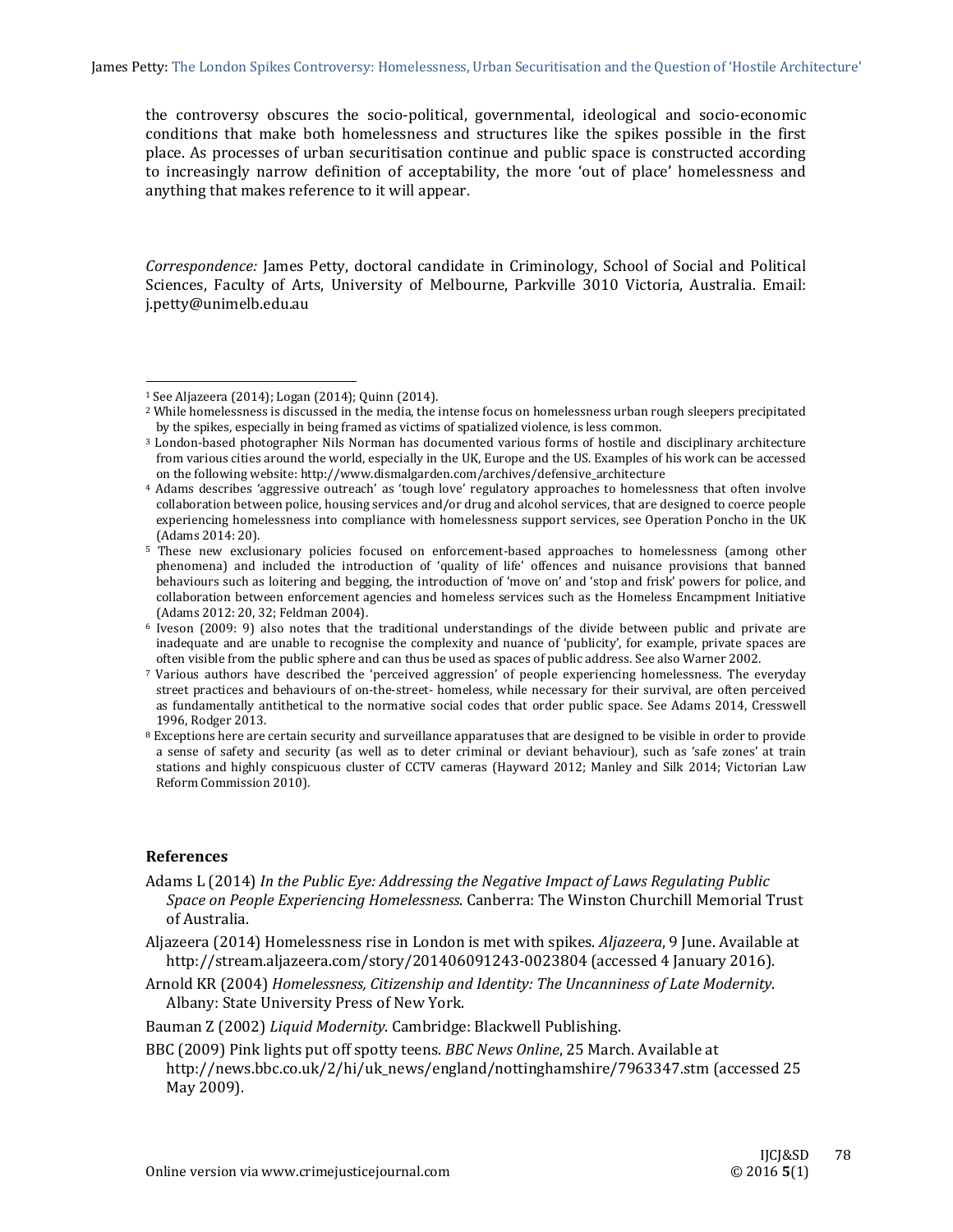the controversy obscures the socio-political, governmental, ideological and socio-economic conditions that make both homelessness and structures like the spikes possible in the first place. As processes of urban securitisation continue and public space is constructed according to increasingly narrow definition of acceptability, the more 'out of place' homelessness and anything that makes reference to it will appear.

*Correspondence:* James Petty, doctoral candidate in Criminology, School of Social and Political Sciences, Faculty of Arts, University of Melbourne, Parkville 3010 Victoria, Australia. Email: j.petty@unimelb.edu.au 

 

#### **References**

- Aljazeera (2014) Homelessness rise in London is met with spikes. *Aljazeera*, 9 June. Available at http://stream.aljazeera.com/story/201406091243-0023804 (accessed 4 January 2016).
- Arnold KR (2004) *Homelessness, Citizenship and Identity: The Uncanniness of Late Modernity*. Albany: State University Press of New York.

Bauman Z (2002) *Liquid Modernity*. Cambridge: Blackwell Publishing.

BBC (2009) Pink lights put off spotty teens. *BBC News Online*, 25 March. Available at http://news.bbc.co.uk/2/hi/uk\_news/england/nottinghamshire/7963347.stm (accessed 25 May 2009).

 $1$  See Aljazeera (2014); Logan (2014); Quinn (2014).

<sup>&</sup>lt;sup>2</sup> While homelessness is discussed in the media, the intense focus on homelessness urban rough sleepers precipitated by the spikes, especially in being framed as victims of spatialized violence, is less common.

<sup>&</sup>lt;sup>3</sup> London-based photographer Nils Norman has documented various forms of hostile and disciplinary architecture from various cities around the world, especially in the UK, Europe and the US. Examples of his work can be accessed on the following website: http://www.dismalgarden.com/archives/defensive\_architecture

<sup>&</sup>lt;sup>4</sup> Adams describes 'aggressive outreach' as 'tough love' regulatory approaches to homelessness that often involve collaboration between police, housing services and/or drug and alcohol services, that are designed to coerce people experiencing homelessness into compliance with homelessness support services, see Operation Poncho in the UK (Adams 2014: 20).

<sup>5</sup> These new exclusionary policies focused on enforcement-based approaches to homelessness (among other phenomena) and included the introduction of 'quality of life' offences and nuisance provisions that banned behaviours such as loitering and begging, the introduction of 'move on' and 'stop and frisk' powers for police, and collaboration between enforcement agencies and homeless services such as the Homeless Encampment Initiative (Adams 2012: 20, 32; Feldman 2004).

 $6$  Iveson (2009: 9) also notes that the traditional understandings of the divide between public and private are inadequate and are unable to recognise the complexity and nuance of 'publicity', for example, private spaces are often visible from the public sphere and can thus be used as spaces of public address. See also Warner 2002.

<sup>7</sup> Various authors have described the 'perceived aggression' of people experiencing homelessness. The everyday street practices and behaviours of on-the-street- homeless, while necessary for their survival, are often perceived as fundamentally antithetical to the normative social codes that order public space. See Adams 2014, Cresswell 1996, Rodger 2013.

 $8$  Exceptions here are certain security and surveillance apparatuses that are designed to be visible in order to provide a sense of safety and security (as well as to deter criminal or deviant behaviour), such as 'safe zones' at train stations and highly conspicuous cluster of CCTV cameras (Hayward 2012; Manley and Silk 2014; Victorian Law Reform Commission 2010).

Adams L (2014) *In the Public Eye: Addressing the Negative Impact of Laws Regulating Public Space on People Experiencing Homelessness*. Canberra: The Winston Churchill Memorial Trust of Australia.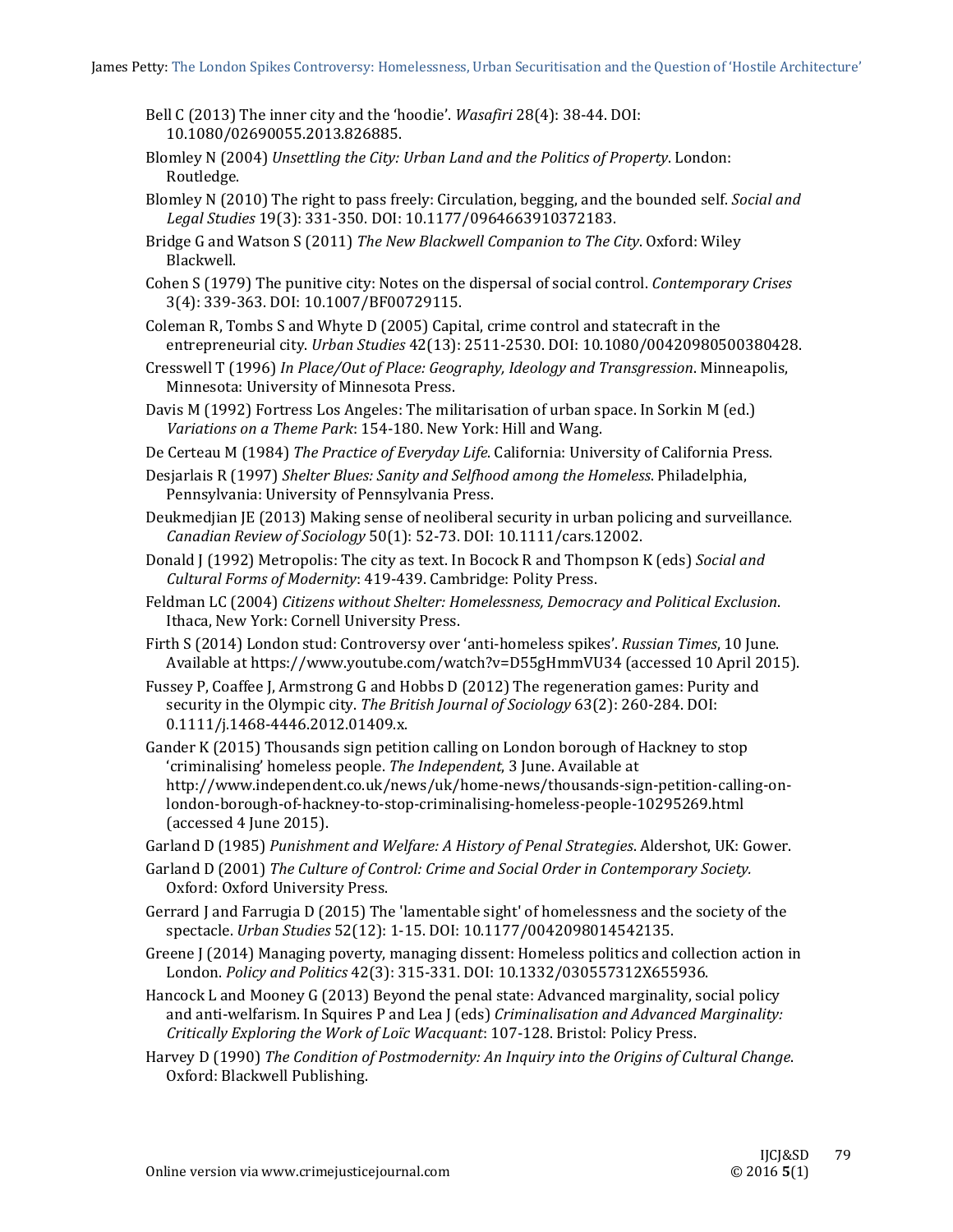- Bell C (2013) The inner city and the 'hoodie'. *Wasafiri* 28(4): 38-44. DOI: 10.1080/02690055.2013.826885.
- Blomley N (2004) *Unsettling the City: Urban Land and the Politics of Property*. London: Routledge.
- Blomley N (2010) The right to pass freely: Circulation, begging, and the bounded self. *Social and Legal Studies* 19(3): 331‐350. DOI: 10.1177/0964663910372183.
- Bridge G and Watson S (2011) *The New Blackwell Companion to The City*. Oxford: Wiley Blackwell.
- Cohen S (1979) The punitive city: Notes on the dispersal of social control. *Contemporary Crises* 3(4): 339-363. DOI: 10.1007/BF00729115.
- Coleman R, Tombs S and Whyte D (2005) Capital, crime control and statecraft in the entrepreneurial city. *Urban Studies*  $42(13)$ : 2511-2530. DOI: 10.1080/00420980500380428.
- Cresswell T (1996) *In Place/Out of Place: Geography, Ideology and Transgression*. Minneapolis, Minnesota: University of Minnesota Press.
- Davis M (1992) Fortress Los Angeles: The militarisation of urban space. In Sorkin M (ed.) *Variations on a Theme Park*: 154‐180. New York: Hill and Wang.
- De Certeau M (1984) The Practice of *Everyday Life*. California: University of California Press.
- Desjarlais R (1997) *Shelter Blues: Sanity and Selfhood among the Homeless*. Philadelphia, Pennsylvania: University of Pennsylvania Press.
- Deukmedijan JE (2013) Making sense of neoliberal security in urban policing and surveillance. *Canadian Review of Sociology* 50(1): 52‐73. DOI: 10.1111/cars.12002.
- Donald J (1992) Metropolis: The city as text. In Bocock R and Thompson K (eds) *Social and Cultural Forms of Modernity*: 419‐439. Cambridge: Polity Press.
- Feldman LC (2004) *Citizens without Shelter: Homelessness, Democracy and Political Exclusion*. Ithaca, New York: Cornell University Press.
- Firth S (2014) London stud: Controversy over 'anti-homeless spikes'. Russian Times, 10 June. Available at https://www.youtube.com/watch?v=D55gHmmVU34 (accessed 10 April 2015).
- Fussey P, Coaffee J, Armstrong G and Hobbs D (2012) The regeneration games: Purity and security in the Olympic city. The British *Journal of Sociology* 63(2): 260-284. DOI: 0.1111/j.1468‐4446.2012.01409.x.
- Gander K (2015) Thousands sign petition calling on London borough of Hackney to stop 'criminalising' homeless people. *The Independent*, 3 June. Available at http://www.independent.co.uk/news/uk/home‐news/thousands‐sign‐petition‐calling‐on‐ london‐borough‐of‐hackney‐to‐stop‐criminalising‐homeless‐people‐10295269.html (accessed 4 June 2015).
- Garland D (1985) *Punishment and Welfare: A History of Penal Strategies*. Aldershot, UK: Gower.
- Garland D (2001) *The Culture of Control: Crime and Social Order in Contemporary Society.* Oxford: Oxford University Press.
- Gerrard  $\tilde{I}$  and Farrugia D (2015) The 'lamentable sight' of homelessness and the society of the spectacle. *Urban Studies* 52(12): 1‐15. DOI: 10.1177/0042098014542135.
- Greene J (2014) Managing poverty, managing dissent: Homeless politics and collection action in London. *Policy and Politics* 42(3): 315‐331. DOI: 10.1332/030557312X655936.
- Hancock L and Mooney G (2013) Beyond the penal state: Advanced marginality, social policy and anti-welfarism. In Squires P and Lea J (eds) *Criminalisation and Advanced Marginality: Critically Exploring the Work of Loïc Wacquant*: 107‐128. Bristol: Policy Press.
- Harvey D (1990) *The Condition of Postmodernity: An Inquiry into the Origins of Cultural Change*. Oxford: Blackwell Publishing.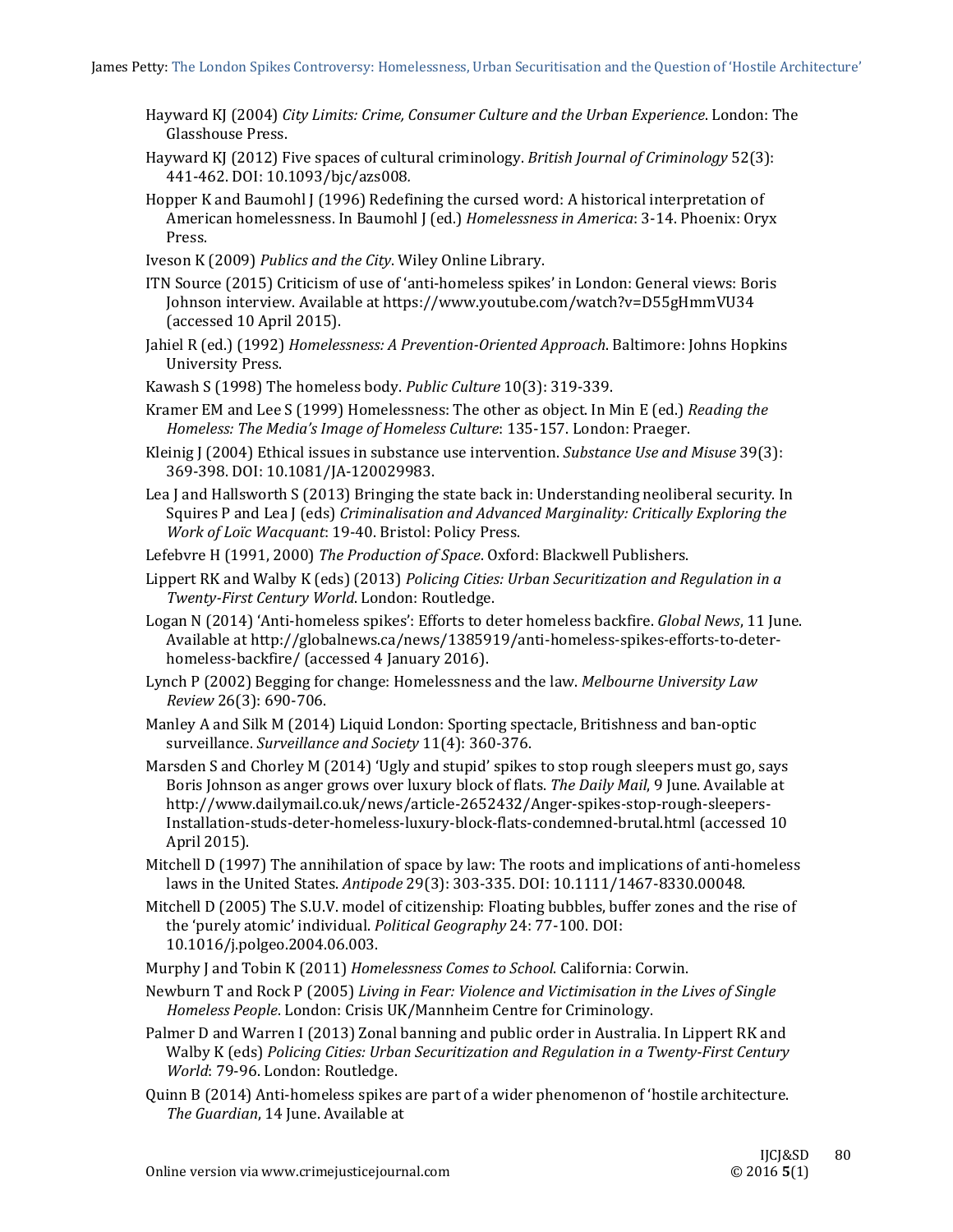- Hayward KJ (2004) *City Limits: Crime, Consumer Culture and the Urban Experience*. London: The Glasshouse Press.
- Hayward KJ (2012) Five spaces of cultural criminology. *British Journal of Criminology* 52(3): 441‐462. DOI: 10.1093/bjc/azs008*.*
- Hopper K and Baumohl J (1996) Redefining the cursed word: A historical interpretation of American homelessness. In Baumohl J (ed.) *Homelessness in America*: 3-14. Phoenix: Oryx Press.
- Iveson K (2009) *Publics and the City*. Wiley Online Library.
- ITN Source (2015) Criticism of use of 'anti-homeless spikes' in London: General views: Boris Johnson interview. Available at https://www.youtube.com/watch?v=D55gHmmVU34 (accessed 10 April 2015).
- Jahiel R (ed.) (1992) *Homelessness: A Prevention‐Oriented Approach*. Baltimore: Johns Hopkins University Press.
- Kawash S (1998) The homeless body. Public Culture 10(3): 319-339.
- Kramer EM and Lee S (1999) Homelessness: The other as object. In Min E (ed.) *Reading the Homeless: The Media's Image of Homeless Culture*: 135‐157. London: Praeger.
- Kleinig J (2004) Ethical issues in substance use intervention. *Substance Use and Misuse* 39(3): 369‐398. DOI: 10.1081/JA‐120029983.
- Lea J and Hallsworth S (2013) Bringing the state back in: Understanding neoliberal security. In Squires P and Lea J (eds) *Criminalisation and Advanced Marginality: Critically Exploring the Work of Loïc Wacquant*: 19‐40. Bristol: Policy Press.
- Lefebvre H (1991, 2000) The Production of Space. Oxford: Blackwell Publishers.
- Lippert RK and Walby K (eds) (2013) *Policing Cities: Urban Securitization and Regulation in a Twenty‐First Century World*. London: Routledge.
- Logan N (2014) 'Anti-homeless spikes': Efforts to deter homeless backfire. *Global News*, 11 June. Available at http://globalnews.ca/news/1385919/anti-homeless-spikes-efforts-to-deterhomeless-backfire/ (accessed 4 January 2016).
- Lynch P (2002) Begging for change: Homelessness and the law. *Melbourne University Law Review* 26(3): 690‐706.
- Manley A and Silk M (2014) Liquid London: Sporting spectacle, Britishness and ban-optic surveillance. *Surveillance and Society* 11(4): 360‐376.
- Marsden S and Chorley M (2014) 'Ugly and stupid' spikes to stop rough sleepers must go, says Boris Johnson as anger grows over luxury block of flats. *The Daily Mail*, 9 June. Available at http://www.dailymail.co.uk/news/article‐2652432/Anger‐spikes‐stop‐rough‐sleepers‐ Installation-studs-deter-homeless-luxury-block-flats-condemned-brutal.html (accessed 10 April 2015).
- Mitchell D (1997) The annihilation of space by law: The roots and implications of anti-homeless laws in the United States. Antipode 29(3): 303-335. DOI: 10.1111/1467-8330.00048.
- Mitchell D (2005) The S.U.V. model of citizenship: Floating bubbles, buffer zones and the rise of the 'purely atomic' individual. *Political Geography* 24: 77-100. DOI: 10.1016/j.polgeo.2004.06.003.
- Murphy J and Tobin K (2011) *Homelessness Comes to School*. California: Corwin.
- Newburn T and Rock P (2005) *Living in Fear: Violence and Victimisation in the Lives of Single Homeless People*. London: Crisis UK/Mannheim Centre for Criminology.
- Palmer D and Warren I (2013) Zonal banning and public order in Australia. In Lippert RK and Walby K (eds) *Policing Cities: Urban Securitization and Regulation in a Twenty‐First Century* World: 79-96. London: Routledge.
- Quinn B (2014) Anti-homeless spikes are part of a wider phenomenon of 'hostile architecture. The *Guardian*, 14 June. Available at